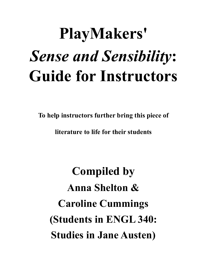# **PlayMakers'** *Sense and Sensibility***: Guide for Instructors**

**To help instructors further bring this piece of** 

**literature to life for their students**

**Compiled by Anna Shelton & Caroline Cummings (Students in ENGL 340: Studies in Jane Austen)**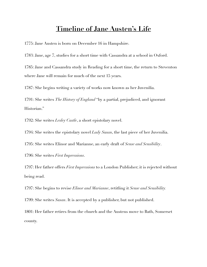## **Timeline of Jane Austen's Life**

1775: Jane Austen is born on December 16 in Hampshire.

1783: Jane, age 7, studies for a short time with Cassandra at a school in Oxford.

1785: Jane and Cassandra study in Reading for a short time, the return to Steventon where Jane will remain for much of the next 15 years.

1787: She begins writing a variety of works now known as her Juvenilia.

1791: She writes *The History of England* "by a partial, prejudiced, and ignorant Historian."

1792: She writes *Lesley Castle*, a short epistolary novel.

1794: She writes the epistolary novel *Lady Susan*, the last piece of her Juvenilia.

1795: She writes Elinor and Marianne, an early draft of *Sense and Sensibility*.

1796: She writes *First Impressions*.

1797: Her father offers *First Impressions* to a London Publisher; it is rejected without being read.

1797: She begins to revise *Elinor and Marianne*, retitling it *Sense and Sensibility.* 

1799: She writes *Susan*. It is accepted by a publisher, but not published.

1801: Her father retires from the church and the Austens move to Bath, Somerset county.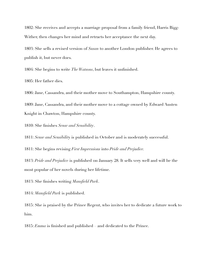1802: She receives and accepts a marriage proposal from a family friend, Harris Bigg-Wither, then changes her mind and retracts her acceptance the next day.

1803: She sells a revised version of *Susan* to another London publisher. He agrees to publish it, but never does.

1804: She begins to write *The Watsons*, but leaves it unfinished.

1805: Her father dies.

1806: Jane, Cassandra, and their mother move to Southampton, Hampshire county. 1809: Jane, Cassandra, and their mother move to a cottage owned by Edward Austen Knight in Chawton, Hampshire county.

1810: She finishes *Sense and Sensibility*.

1811: *Sense and Sensibilit*y is published in October and is moderately successful.

1811: She begins revising *First Impressions* into *Pride and Prejudice.*

1813: *Pride and Prejudice* is published on January 28. It sells very well and will be the most popular of her novels during her lifetime.

1813: She finishes writing *Mansfield Park*.

1814: *Mansfield Park* is published.

1815: She is praised by the Prince Regent, who invites her to dedicate a future work to him.

1815: *Emma* is finished and published – and dedicated to the Prince.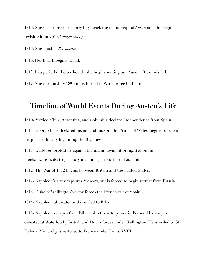1816: She or her brother Henry buys back the manuscript of *Susan* and she begins revising it into *Northanger Abbey.*

1816: She finishes *Persuasion*.

1816: Her health begins to fail.

1817: In a period of better health, she begins writing *Sandition*, left unfinished. 1817: She dies on July 18th and is buried in Winchester Cathedral.

## **Timeline of World Events During Austen's Life**

1810- Mexico, Chile, Argentina, and Columbia declare Independence from Spain 1811- George III is declared insane and his son, the Prince of Wales, begins to rule in his place, officially beginning the Regency.

1811- Luddites, protesters against the unemployment brought about my mechanization, destroy factory machinery in Northern England.

1812- The War of 1812 begins between Britain and the United States.

1812- Napoleon's army captures Moscow, but is forced to begin retreat from Russia.

1813- Duke of Wellington's army forces the French out of Spain.

1814- Napoleon abdicates and is exiled to Elba.

1815- Napoleon escapes from Elba and returns to power in France. His army is defeated at Waterloo by British and Dutch forces under Wellington. He is exiled to St. Helena. Monarchy is restored to France under Louis XVIII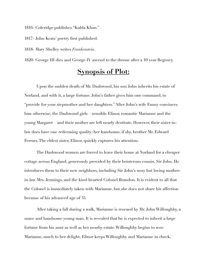1816- Coleridge publishes "Kubla Khan."

1817- John Keats' poetry first published.

1818- Mary Shelley writes *Frankenstein*.

1820- George III dies and George IV ascend to the throne after a 10 year Regency.

## **Synopsis of Plot:**

Upon the sudden death of Mr. Dashwood, his son John inherits his estate of Norland, and with it, a large fortune. John's father gives him one command, to "provide for your stepmother and her daughters." After John's wife Fanny convinces him otherwise, the Dashwood girls – sensible Elinor, romantic Marianne and the young Margaret – and their mother are left nearly destitute. However, their sister-inlaw does have one redeeming quality: her handsome, if shy, brother Mr. Edward Ferrars. The eldest sister, Elinor, quickly captures his attention.

The Dashwood women are forced to leave their home at Norland for a cheaper cottage across England, generously provided by their boisterous cousin, Sir John. He introduces them to their new neighbors, including Sir John's nosy but loving motherin-law Mrs. Jennings, and the kind-hearted Colonel Brandon. It is evident to all that the Colonel is immediately taken with Marianne, but she does not share his affection because of his advanced age of 35.

After taking a fall during a walk, Marianne is rescued by Mr. John Willoughby, a suave and handsome young man. It is revealed that he is expected to inherit a large fortune from his aunt as well as her nearby estate. Willoughby begins to woo Marianne, much to her delight. Elinor keeps Willoughby and Marianne in check,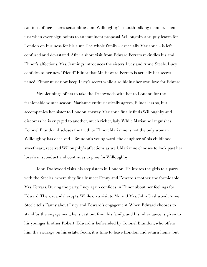cautious of her sister's sensibilities and Willoughby's smooth-talking manner. Then, just when every sign points to an imminent proposal, Willoughby abruptly leaves for London on business for his aunt. The whole family – especially Marianne – is left confused and devastated. After a short visit from Edward Ferrars rekindles his and Elinor's affections, Mrs. Jennings introduces the sisters Lucy and Anne Steele. Lucy confides to her new "friend" Elinor that Mr. Edward Ferrars is actually her secret fiancé. Elinor must now keep Lucy's secret while also hiding her own love for Edward.

Mrs. Jennings offers to take the Dashwoods with her to London for the fashionable winter season. Marianne enthusiastically agrees, Elinor less so, but accompanies her sister to London anyway. Marianne finally finds Willoughby and discovers he is engaged to another, much richer, lady. While Marianne languishes, Colonel Brandon discloses the truth to Elinor: Marianne is not the only woman Willoughby has deceived – Brandon's young ward, the daughter of his childhood sweetheart, received Willoughby's affections as well. Marianne chooses to look past her lover's misconduct and continues to pine for Willoughby.

John Dashwood visits his stepsisters in London. He invites the girls to a party with the Steeles, where they finally meet Fanny and Edward's mother, the formidable Mrs. Ferrars. During the party, Lucy again confides in Elinor about her feelings for Edward. Then, scandal erupts. While on a visit to Mr. and Mrs. John Dashwood, Anne Steele tells Fanny about Lucy and Edward's engagement. When Edward chooses to stand by the engagement, he is cast out from his family, and his inheritance is given to his younger brother Robert. Edward is befriended by Colonel Brandon, who offers him the vicarage on his estate. Soon, it is time to leave London and return home, but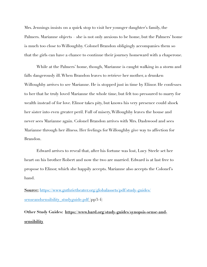Mrs. Jennings insists on a quick stop to visit her younger daughter's family, the Palmers. Marianne objects – she is not only anxious to be home, but the Palmers' home is much too close to Willoughby. Colonel Brandon obligingly accompanies them so that the girls can have a chance to continue their journey homeward with a chaperone.

While at the Palmers' home, though, Marianne is caught walking in a storm and falls dangerously ill. When Brandon leaves to retrieve her mother, a drunken Willoughby arrives to see Marianne. He is stopped just in time by Elinor. He confesses to her that he truly loved Marianne the whole time, but felt too pressured to marry for wealth instead of for love. Elinor takes pity, but knows his very presence could shock her sister into even greater peril. Full of misery, Willoughby leaves the house and never sees Marianne again. Colonel Brandon arrives with Mrs. Dashwood and sees Marianne through her illness. Her feelings for Willoughby give way to affection for Brandon.

Edward arrives to reveal that, after his fortune was lost, Lucy Steele set her heart on his brother Robert and now the two are married. Edward is at last free to propose to Elinor, which she happily accepts. Marianne also accepts the Colonel's hand.

**Source:** [https://www.guthrietheater.org/globalassets/pdf/study-guides/](https://www.guthrietheater.org/globalassets/pdf/study-guides/senseandsensibility_studyguide.pdf) [senseandsensibility\\_studyguide.pdf](https://www.guthrietheater.org/globalassets/pdf/study-guides/senseandsensibility_studyguide.pdf) (pp3-4)

**Other Study Guides: [https://www.bard.org/study-guides/synopsis-sense-and](https://www.bard.org/study-guides/synopsis-sense-and-sensibility)[sensibility](https://www.bard.org/study-guides/synopsis-sense-and-sensibility)**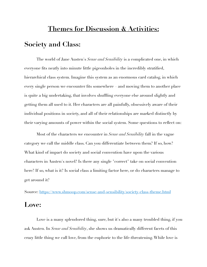## **Themes for Discussion & Activities: Society and Class:**

The world of Jane Austen's *Sense and Sensibility* is a complicated one, in which everyone fits neatly into minute little pigeonholes in the incredibly stratified, hierarchical class system. Imagine this system as an enormous card catalog, in which every single person we encounter fits somewhere – and moving them to another place is quite a big undertaking, that involves shuffling everyone else around slightly and getting them all used to it. Her characters are all painfully, obsessively aware of their individual positions in society, and all of their relationships are marked distinctly by their varying amounts of power within the social system. Some questions to reflect on:

Most of the characters we encounter in *Sense and Sensibility* fall in the vague category we call the middle class. Can you differentiate between them? If so, how? What kind of impact do society and social convention have upon the various characters in Austen's novel? Is there any single "correct" take on social convention here? If so, what is it? Is social class a limiting factor here, or do characters manage to get around it?

Source:<https://www.shmoop.com/sense-and-sensibility/society-class-theme.html>

### **Love:**

Love is a many splendored thing, sure, but it's also a many troubled thing, if you ask Austen. In *Sense and Sensibility*, she shows us dramatically different facets of this crazy little thing we call love, from the euphoric to the life-threatening. While love is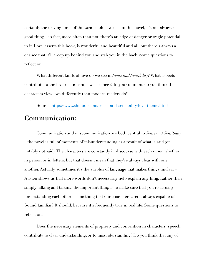certainly the driving force of the various plots we see in this novel, it's not always a good thing – in fact, more often than not, there's an edge of danger or tragic potential in it. Love, asserts this book, is wonderful and beautiful and all, but there's always a chance that it'll creep up behind you and stab you in the back. Some questions to reflect on:

What different kinds of love do we see in *Sense and Sensibility*? What aspects contribute to the love relationships we see here? In your opinion, do you think the characters view love differently than modern readers do?

Source:<https://www.shmoop.com/sense-and-sensibility/love-theme.html>

## **Communication:**

Communication and miscommunication are both central to *Sense and Sensibility*  – the novel is full of moments of misunderstanding as a result of what is said (or notably not said). The characters are constantly in discourse with each other, whether in person or in letters, but that doesn't mean that they're always clear with one another. Actually, sometimes it's the surplus of language that makes things unclear – Austen shows us that more words don't necessarily help explain anything. Rather than simply talking and talking, the important thing is to make sure that you're actually understanding each other – something that our characters aren't always capable of. Sound familiar? It should, because it's frequently true in real life. Some questions to reflect on:

Does the necessary elements of propriety and convention in characters' speech contribute to clear understanding, or to misunderstanding? Do you think that any of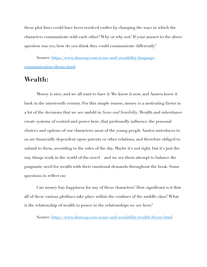these plot lines could have been resolved earlier by changing the ways in which the characters communicate with each other? Why or why not? If your answer to the above question was yes, how do you think they could communicate differently?

Source: [https://www.shmoop.com/sense-and-sensibility/language](https://www.shmoop.com/sense-and-sensibility/language-communication-theme.html)[communication-theme.html](https://www.shmoop.com/sense-and-sensibility/language-communication-theme.html)

## **Wealth:**

Money is nice, and we all want to have it. We know it now, and Austen knew it back in the nineteenth century. For this simple reason, money is a motivating factor in a lot of the decisions that we see unfold in *Sense and Sensibility*. Wealth and inheritance create systems of control and power here, that profoundly influence the personal choices and options of our characters; most of the young people Austen introduces to us are financially dependent upon parents or other relations, and therefore obliged to submit to them, according to the rules of the day. Maybe it's not right, but it's just the way things work in the world of the novel – and we see them attempt to balance the pragmatic need for wealth with their emotional demands throughout the book. Some questions to reflect on:

Can money buy happiness for any of these characters? How significant is it that all of these various plotlines take place within the confines of the middle class? What is the relationship of wealth to power in the relationships we see here?

Source:<https://www.shmoop.com/sense-and-sensibility/wealth-theme.html>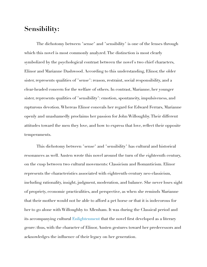## **Sensibility:**

The dichotomy between "sense" and "sensibility" is one of the lenses through which this novel is most commonly analyzed. The distinction is most clearly symbolized by the psychological contrast between the novel's two chief characters, Elinor and Marianne Dashwood. According to this understanding, Elinor, the older sister, represents qualities of "sense": reason, restraint, social responsibility, and a clear-headed concern for the welfare of others. In contrast, Marianne, her younger sister, represents qualities of "sensibility": emotion, spontaneity, impulsiveness, and rapturous devotion. Whereas Elinor conceals her regard for Edward Ferrars, Marianne openly and unashamedly proclaims her passion for John Willoughby. Their different attitudes toward the men they love, and how to express that love, reflect their opposite temperaments.

 This dichotomy between "sense" and "sensibility" has cultural and historical resonances as well. Austen wrote this novel around the turn of the eighteenth century, on the cusp between two cultural movements: Classicism and Romanticism. Elinor represents the characteristics associated with eighteenth-century neo-classicism, including rationality, insight, judgment, moderation, and balance. She never loses sight of propriety, economic practicalities, and perspective, as when she reminds Marianne that their mother would not be able to afford a pet horse or that it is indecorous for her to go alone with Willoughby to Allenham. It was during the Classical period and its accompanying cultural [Enlightenment](http://www.sparknotes.com/history/european/enlightenment/) that the novel first developed as a literary genre: thus, with the character of Elinor, Austen gestures toward her predecessors and acknowledges the influence of their legacy on her generation.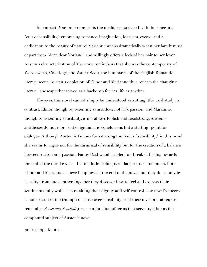In contrast, Marianne represents the qualities associated with the emerging "cult of sensibility," embracing romance, imagination, idealism, excess, and a dedication to the beauty of nature: Marianne weeps dramatically when her family must depart from "dear, dear Norland" and willingly offers a lock of her hair to her lover. Austen's characterization of Marianne reminds us that she was the contemporary of Wordsworth, Coleridge, and Walter Scott, the luminaries of the English Romantic literary scene. Austen's depiction of Elinor and Marianne thus reflects the changing literary landscape that served as a backdrop for her life as a writer.

 However, this novel cannot simply be understood as a straightforward study in contrast. Elinor, though representing sense, does not lack passion, and Marianne, though representing sensibility, is not always foolish and headstrong. Austen's antitheses do not represent epigrammatic conclusions but a starting- point for dialogue. Although Austen is famous for satirizing the "cult of sensibility," in this novel she seems to argue not for the dismissal of sensibility but for the creation of a balance between reason and passion. Fanny Dashwood's violent outbreak of feeling towards the end of the novel reveals that too little feeling is as dangerous as too much. Both Elinor and Marianne achieve happiness at the end of the novel, but they do so only by learning from one another: together they discover how to feel and express their sentiments fully while also retaining their dignity and self-control. The novel's success is not a result of the triumph of sense over sensibility or of their division; rather, we remember *Sense and Sensibility* as a conjunction of terms that serve together as the compound subject of Austen's novel.

#### Source: Sparknotes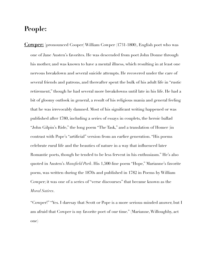## **People:**

**Cowper:** [pronounced Cooper] William Cowper (1731-1800), English poet who was one of Jane Austen's favorites. He was descended from poet John Donne through his mother, and was known to have a mental illness, which resulting in at least one nervous breakdown and several suicide attempts. He recovered under the care of several friends and patrons, and thereafter spent the bulk of his adult life in "rustic retirement," though he had several more breakdowns until late in his life. He had a bit of gloomy outlook in general, a result of his religious mania and general feeling that he was irrevocably damned. Most of his significant writing happened or was published after 1780, including a series of essays in couplets, the heroic ballad "John Gilpin's Ride," the long poem "The Task," and a translation of Homer (in contrast with Pope's "artificial" version from an earlier generation. "His poems celebrate rural life and the beauties of nature in a way that influenced later Romantic poets, though he tended to be less fervent in his enthusiasm." He's also quoted in Austen's *Mansfield Park*. His 1,500-line poem "Hope," Marianne's favorite poem, was written during the 1870s and published in 1782 in Poems by William Cowper; it was one of a series of "verse discourses" that became known as the *Moral Satires*.

"Cowper!" "Yes. I daresay that Scott or Pope is a more serious-minded answer, but I am afraid that Cowper is my favorite poet of our time." (Marianne, Willoughby, act one)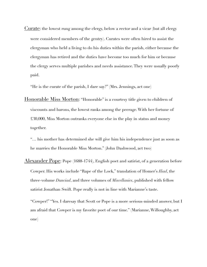Curate: the lowest rung among the clergy, below a rector and a vicar (but all clergy were considered members of the gentry). Curates were often hired to assist the clergyman who held a living to do his duties within the parish, either because the clergyman has retired and the duties have become too much for him or because the clergy serves multiple parishes and needs assistance. They were usually poorly paid.

"He is the curate of the parish, I dare say?" (Mrs. Jennings, act one)

Honorable Miss Morton: "Honorable" is a courtesy title given to children of viscounts and barons, the lowest ranks among the peerage. With her fortune of £30,000, Miss Morton outranks everyone else in the play in status and money together.

"… his mother has determined she will give him his independence just as soon as he marries the Honorable Miss Morton." (John Dashwood, act two)

Alexander Pope: Pope (1688-1744), English poet and satirist, of a generation before Cowper. His works include "Rape of the Lock," translation of Homer's *Iliad*, the three-volume *Dunciad*, and three volumes of *Miscellanies*, published with fellow satirist Jonathan Swift. Pope really is not in line with Marianne's taste.

"Cowper!" "Yes. I daresay that Scott or Pope is a more serious-minded answer, but I am afraid that Cowper is my favorite poet of our time." (Marianne, Willoughby, act one)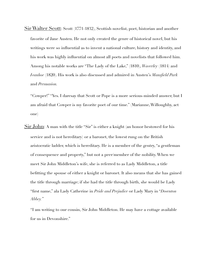Sir Walter Scott: Scott (1771-1832), Scottish novelist, poet, historian and another favorite of Jane Austen. He not only created the genre of historical novel, but his writings were so influential as to invent a national culture, history and identity, and his work was highly influential on almost all poets and novelists that followed him. Among his notable works are "The Lady of the Lake," (1810), *Waverley* (1814) and *Ivanhoe* (1820). His work is also discussed and admired in Austen's *Mansfield Park* and *Persuasion.* 

"Cowper!" "Yes. I daresay that Scott or Pope is a more serious-minded answer, but I am afraid that Cowper is my favorite poet of our time." (Marianne, Willoughby, act one)

Sir John: A man with the title "Sir" is either a knight (an honor bestowed for his service and is not hereditary) or a baronet, the lowest rung on the British aristocratic ladder, which is hereditary. He is a member of the gentry, "a gentleman of consequence and property," but not a peer/member of the nobility. When we meet Sir John Middleton's wife, she is referred to as Lady Middleton, a title befitting the spouse of either a knight or baronet. It also means that she has gained the title through marriage; if she had the title through birth, she would be Lady "first name," ala Lady Catherine in *Pride and Prejudice* or Lady Mary in "*Downton Abbey."* 

"I am writing to our cousin, Sir John Middleton. He may have a cottage available for us in Devonshire."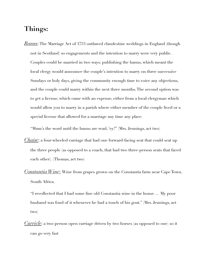## **Things:**

*Banns*: The Marriage Act of 1753 outlawed clandestine weddings in England (though not in Scotland) so engagements and the intention to marry were very public. Couples could be married in two ways: publishing the banns, which meant the local clergy would announce the couple's intention to marry on three successive Sundays or holy days, giving the community enough time to voice any objections, and the couple could marry within the next three months. The second option was to get a license, which came with an expense, either from a local clergyman which would allow you to marry in a parish where either member of the couple lived or a special license that allowed for a marriage any time any place.

"Mum's the word until the banns are read, 'ey?" (Mrs. Jennings, act two)

- *Chaise*: a four-wheeled carriage that had one forward-facing seat that could seat up the three people (as opposed to a coach, that had two three-person seats that faced each other). (Thomas, act two)
- *Constantia Wine*: Wine from grapes grown on the Constantia farm near Cape Town, South Africa.
	- "I recollected that I had some fine old Constantia wine in the house … My poor husband was fond of it whenever he had a touch of his gout." (Mrs. Jennings, act two)
- *Curricle*: a two-person open carriage driven by two horses (as opposed to one) so it can go very fast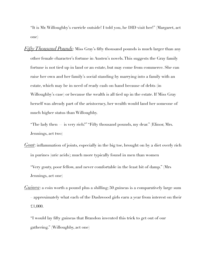"It is Mr. Willoughby's curricle outside! I told you, he DID visit her!" (Margaret, act one)

*Fifty Thousand Pounds*: Miss Gray's fifty thousand pounds is much larger than any other female character's fortune in Austen's novels. This suggests the Gray family fortune is not tied up in land or an estate, but may come from commerce. She can raise her own and her family's social standing by marrying into a family with an estate, which may be in need of ready cash on hand because of debts (in Willoughby's case) or because the wealth is all tied up in the estate. If Miss Gray herself was already part of the aristocracy, her wealth would land her someone of much higher status than Willoughby.

"The lady then — is very rich?" "Fifty thousand pounds, my dear." (Elinor, Mrs. Jennings, act two)

*Gout*: inflammation of joints, especially in the big toe, brought on by a diet overly rich in purines (uric acids); much more typically found in men than women

"Very gouty, poor fellow, and never comfortable in the least bit of damp." (Mrs Jennings, act one)

*Guinea*: a coin worth a pound plus a shilling; 50 guineas is a comparatively large sum – approximately what each of the Dashwood girls earn a year from interest on their £1,000.

"I would lay fifty guineas that Brandon invented this trick to get out of our gathering." (Willoughby, act one)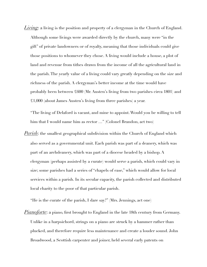*Living*: a living is the position and property of a clergyman in the Church of England. Although some livings were awarded directly by the church, many were "in the gift" of private landowners or of royalty, meaning that those individuals could give those positions to whomever they chose. A living would include a house, a plot of land and revenue from tithes drawn from the income of all the agricultural land in the parish. The yearly value of a living could vary greatly depending on the size and richness of the parish. A clergyman's better income at the time would have probably been between £600 (Mr. Austen's living from two parishes circa 1801) and £1,000 (about James Austen's living from three parishes) a year.

"The living of Delaford is vacant, and mine to appoint. Would you be willing to tell him that I would name him as rector …" (Colonel Brandon, act two)

*Parish*: the smallest geographical subdivision within the Church of England which also served as a governmental unit. Each parish was part of a deanery, which was part of an archdeanery, which was part of a diocese headed by a bishop. A clergyman (perhaps assisted by a curate) would serve a parish, which could vary in size; some parishes had a series of "chapels of ease," which would allow for local services within a parish. In its secular capacity, the parish collected and distributed local charity to the poor of that particular parish.

"He is the curate of the parish, I dare say?" (Mrs. Jennings, act one)

*Pianoforte*: a piano, first brought to England in the late 18th century from Germany. Unlike in a harpsichord, strings on a piano are struck by a hammer rather than plucked, and therefore require less maintenance and create a louder sound. John Broadwood, a Scottish carpenter and joiner, held several early patents on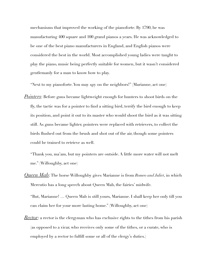mechanisms that improved the working of the pianoforte. By 1790, he was manufacturing 400 square and 100 grand pianos a years. He was acknowledged to be one of the best piano manufacturers in England, and English pianos were considered the best in the world. Most accomplished young ladies were taught to play the piano, music being perfectly suitable for women, but it wasn't considered gentlemanly for a man to know how to play.

"Next to my pianoforte. You may spy on the neighbors!" (Marianne, act one)

*Pointers*: Before guns became lightweight enough for hunters to shoot birds on the fly, the tactic was for a pointer to find a sitting bird, terrify the bird enough to keep its position, and point it out to its master who would shoot the bird as it was sitting still. As guns became lighter, pointers were replaced with retrievers, to collect the birds flushed out from the brush and shot out of the air, though some pointers could be trained to retrieve as well.

"Thank you, ma'am, but my pointers are outside. A little more water will not melt me." (Willoughby, act one)

*Queen Mab*: The horse Willoughby gives Marianne is from *Romeo and Juliet*, in which Mercutio has a long speech about Queen Mab, the fairies' midwife.

"But, Marianne! … Queen Mab is still yours, Marianne. I shall keep her only till you can claim her for your more lasting home." (Willoughby, act one)

*Rector*: a rector is the clergyman who has exclusive rights to the tithes from his parish (as opposed to a vicar, who receives only some of the tithes, or a curate, who is employed by a rector to fulfill some or all of the clergy's duties.)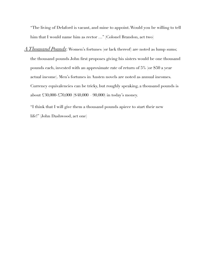"The living of Delaford is vacant, and mine to appoint. Would you be willing to tell him that I would name him as rector ..." (Colonel Brandon, act two)

*A Thousand Pounds*: Women's fortunes (or lack thereof) are noted as lump sums; the thousand pounds John first proposes giving his sisters would be one thousand pounds each, invested with an approximate rate of return of 5% (or \$50 a year actual income). Men's fortunes in Austen novels are noted as annual incomes. Currency equivalencies can be tricky, but roughly speaking, a thousand pounds is about £30,000-£70,000 (\$40,000 – 90,000) in today's money.

"I think that I will give them a thousand pounds apiece to start their new life!" (John Dashwood, act one)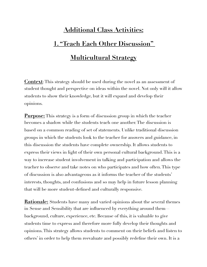## **Additional Class Activities: 1. "Teach Each Other Discussion" Multicultural Strategy**

**Context**: This strategy should be used during the novel as an assessment of student thought and perspective on ideas within the novel. Not only will it allow students to show their knowledge, but it will expand and develop their opinions.

**Purpose:** This strategy is a form of discussion group in which the teacher becomes a shadow while the students teach one another. The discussion is based on a common reading of set of statements. Unlike traditional discussion groups in which the students look to the teacher for answers and guidance, in this discussion the students have complete ownership. It allows students to express their views in light of their own personal cultural background. This is a way to increase student involvement in talking and participation and allows the teacher to observe and take notes on who participates and how often. This type of discussion is also advantageous as it informs the teacher of the students' interests, thoughts, and confusions and so may help in future lesson planning that will be more student-defined and culturally responsive.

**Rationale:** Students have many and varied opinions about the several themes in Sense and Sensibility that are influenced by everything around them background, culture, experience, etc. Because of this, it is valuable to give students time to express and therefore more fully develop their thoughts and opinions. This strategy allows students to comment on their beliefs and listen to others' in order to help them reevaluate and possibly redefine their own. It is a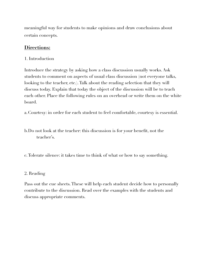meaningful way for students to make opinions and draw conclusions about certain concepts.

#### **Directions:**

1. Introduction

Introduce the strategy by asking how a class discussion usually works. Ask students to comment on aspects of usual class discussion (not everyone talks, looking to the teacher, etc.). Talk about the reading selection that they will discuss today. Explain that today the object of the discussion will be to teach each other. Place the following rules on an overhead or write them on the white board.

a. Courtesy: in order for each student to feel comfortable, courtesy is essential.

- b. Do not look at the teacher: this discussion is for your benefit, not the teacher's.
- c. Tolerate silence: it takes time to think of what or how to say something.

#### 2. Reading

Pass out the cue sheets. These will help each student decide how to personally contribute to the discussion. Read over the examples with the students and discuss appropriate comments.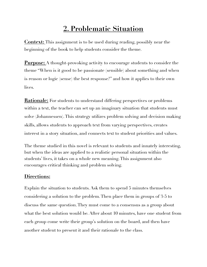## **2. Problematic Situation**

**Context:** This assignment is to be used during reading, possibly near the beginning of the book to help students consider the theme.

**Purpose:** A thought-provoking activity to encourage students to consider the theme "When is it good to be passionate (sensible) about something and when is reason or logic (sense) the best response?" and how it applies to their own lives.

**Rationale:** For students to understand differing perspectives or problems within a text, the teacher can set up an imaginary situation that students must solve (Johannessen). This strategy utilizes problem solving and decision making skills, allows students to approach text from varying perspectives, creates interest in a story situation, and connects text to student priorities and values.

The theme studied in this novel is relevant to students and innately interesting, but when the ideas are applied to a realistic personal situation within the students' lives, it takes on a whole new meaning. This assignment also encourages critical thinking and problem solving.

### **Directions:**

Explain the situation to students. Ask them to spend 5 minutes themselves considering a solution to the problem. Then place them in groups of 3-5 to discuss the same question. They must come to a consensus as a group about what the best solution would be. After about 10 minutes, have one student from each group come write their group's solution on the board, and then have another student to present it and their rationale to the class.